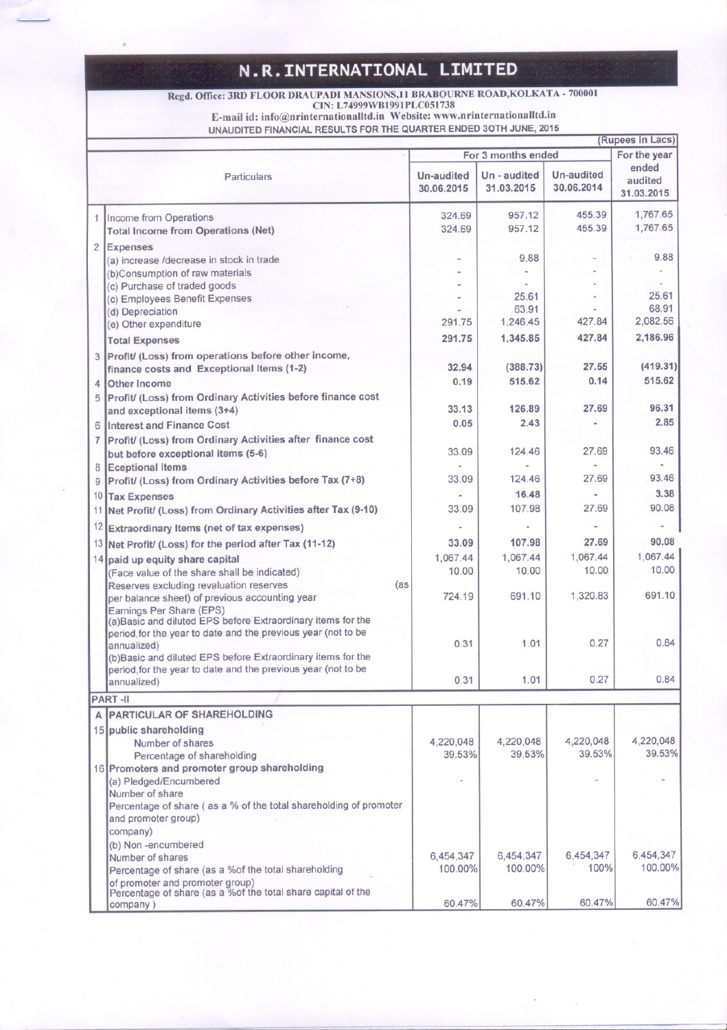## **N.R.INTERNATIONAL LIMITED**

 $\overline{\phantom{m}}$ 

## Regd. Office: 3RD FLOOR DRAUPADI MANSIONS,11 BRABOURNE ROAD,ROLKATA - 70000.<br>CIN: L74999WB1991PLC051738

E-mail id: info@nrinternationalltd.in Website: www.nrinternationalltd.in

UNAUDITED FINANCIAL RESULTS FOR THE QUARTER ENDED 30TH JUNE, 2015

|                |                                                                                          |            |              |            | (Rupees in Lacs)      |
|----------------|------------------------------------------------------------------------------------------|------------|--------------|------------|-----------------------|
|                | For 3 months ended                                                                       |            |              |            |                       |
|                |                                                                                          |            |              |            | For the year<br>ended |
|                | <b>Particulars</b>                                                                       | Un-audited | Un - audited | Un-audited | audited               |
|                |                                                                                          | 30.06.2015 | 31.03.2015   | 30.06.2014 | 31.03.2015            |
|                |                                                                                          |            |              |            |                       |
|                | 1 Income from Operations                                                                 | 324.69     | 957.12       | 455.39     | 1,767.65              |
|                | <b>Total Income from Operations (Net)</b>                                                | 324.69     | 957.12       | 455.39     | 1,767.65              |
|                |                                                                                          |            |              |            |                       |
| $\overline{2}$ | Expenses                                                                                 |            |              |            |                       |
|                | (a) increase /decrease in stock in trade                                                 |            | 9.88         |            | 9.88                  |
|                | (b)Consumption of raw materials                                                          |            |              |            |                       |
|                | (c) Purchase of traded goods                                                             |            |              |            |                       |
|                | (c) Employees Benefit Expenses                                                           |            | 25.61        |            | 25.61                 |
|                | (d) Depreciation                                                                         |            | 63.91        |            | 68.91                 |
|                | (e) Other expenditure                                                                    | 291.75     | 1,246.45     | 427.84     | 2,082.56              |
|                | <b>Total Expenses</b>                                                                    | 291.75     | 1,345.85     | 427.84     | 2,186.96              |
|                |                                                                                          |            |              |            |                       |
|                | Profit/ (Loss) from operations before other income,                                      |            |              |            |                       |
|                | finance costs and Exceptional Items (1-2)                                                | 32.94      | (388.73)     | 27.55      | (419.31)              |
| 4              | <b>Other Income</b>                                                                      | 0.19       | 515.62       | 0.14       | 515.62                |
| 5              | Profit/ (Loss) from Ordinary Activities before finance cost                              |            |              |            |                       |
|                | and exceptional items (3+4)                                                              | 33.13      | 126.89       | 27.69      | 96.31                 |
|                | <b>Interest and Finance Cost</b>                                                         | 0.05       | 2.43         |            | 2.85                  |
| 6              |                                                                                          |            |              |            |                       |
| $\overline{7}$ | Profit/ (Loss) from Ordinary Activities after finance cost                               |            |              |            |                       |
|                | but before exceptional items (5-6)                                                       | 33.09      | 124.46       | 27.69      | 93.46                 |
| 8              | <b>Eceptional Items</b>                                                                  |            |              |            |                       |
| 9              | Profit/ (Loss) from Ordinary Activities before Tax (7+8)                                 | 33.09      | 124.46       | 27.69      | 93.46                 |
| 10             | <b>Tax Expenses</b>                                                                      |            | 16.48        |            | 3.38                  |
| 11             | Net Profit/ (Loss) from Ordinary Activities after Tax (9-10)                             | 33.09      | 107.98       | 27.69      | 90.08                 |
|                |                                                                                          |            |              |            |                       |
| 12             | Extraordinary Items (net of tax expenses)                                                |            |              |            |                       |
|                | 13 Net Profit/ (Loss) for the period after Tax (11-12)                                   | 33.09      | 107.98       | 27.69      | 90.08                 |
|                |                                                                                          | 1,067.44   | 1,067.44     | 1,067.44   | 1,067.44              |
|                | 14 paid up equity share capital                                                          | 10.00      | 10.00        | 10.00      | 10.00                 |
|                | (Face value of the share shall be indicated)                                             |            |              |            |                       |
|                | Reserves excluding revaluation reserves<br>(as                                           |            | 691.10       | 1,320.83   | 691.10                |
|                | per balance sheet) of previous accounting year                                           | 724.19     |              |            |                       |
|                | Earnings Per Share (EPS)<br>(a) Basic and diluted EPS before Extraordinary items for the |            |              |            |                       |
|                |                                                                                          |            |              |            |                       |
|                | period, for the year to date and the previous year (not to be                            | 0.31       | 1.01         | 0.27       | 0.84                  |
|                | annualized)                                                                              |            |              |            |                       |
|                | (b) Basic and diluted EPS before Extraordinary items for the                             |            |              |            |                       |
|                | period, for the year to date and the previous year (not to be                            | 0.31       | 1.01         | 0.27       | 0.84                  |
|                | annualized)                                                                              |            |              |            |                       |
|                | <b>PART-II</b>                                                                           |            |              |            |                       |
| A              | <b>PARTICULAR OF SHAREHOLDING</b>                                                        |            |              |            |                       |
|                | 15 public shareholding                                                                   |            |              |            |                       |
|                | Number of shares                                                                         | 4,220,048  | 4,220,048    | 4,220,048  | 4,220,048             |
|                |                                                                                          | 39.53%     | 39.53%       | 39.53%     | 39.53%                |
|                | Percentage of shareholding                                                               |            |              |            |                       |
|                | 16 Promoters and promoter group shareholding                                             |            |              |            |                       |
|                | (a) Pledged/Encumbered                                                                   |            |              |            |                       |
|                | Number of share                                                                          |            |              |            |                       |
|                | Percentage of share (as a % of the total shareholding of promoter                        |            |              |            |                       |
|                | and promoter group)                                                                      |            |              |            |                       |
|                | company)                                                                                 |            |              |            |                       |
|                | (b) Non-encumbered                                                                       |            |              |            |                       |
|                | Number of shares                                                                         | 6,454,347  | 6,454,347    | 6,454,347  | 6,454,347             |
|                | Percentage of share (as a %of the total shareholding                                     | 100.00%    | 100.00%      | 100%       | 100.00%               |
|                | of promoter and promoter group)                                                          |            |              |            |                       |
|                | Percentage of share (as a %of the total share capital of the                             |            |              |            |                       |
|                | company)                                                                                 | 60.47%     | 60.47%       | 60.47%     | 60.47%                |